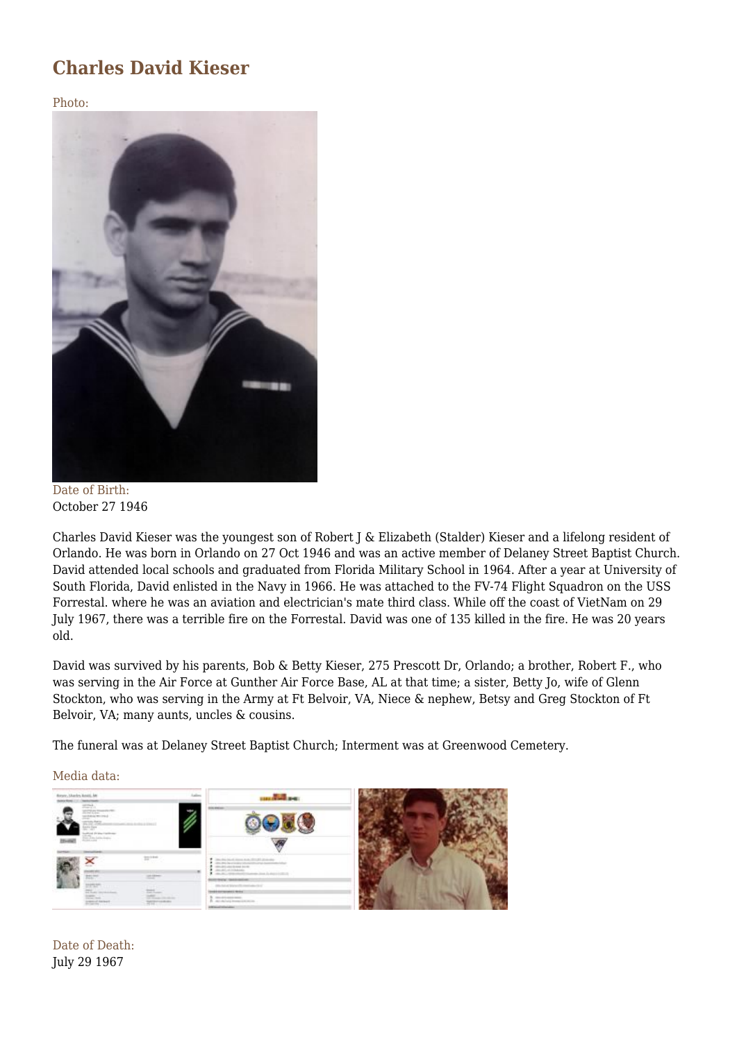## **Charles David Kieser**

Photo:



Date of Birth: October 27 1946

Charles David Kieser was the youngest son of Robert J & Elizabeth (Stalder) Kieser and a lifelong resident of Orlando. He was born in Orlando on 27 Oct 1946 and was an active member of Delaney Street Baptist Church. David attended local schools and graduated from Florida Military School in 1964. After a year at University of South Florida, David enlisted in the Navy in 1966. He was attached to the FV-74 Flight Squadron on the USS Forrestal. where he was an aviation and electrician's mate third class. While off the coast of VietNam on 29 July 1967, there was a terrible fire on the Forrestal. David was one of 135 killed in the fire. He was 20 years old.

David was survived by his parents, Bob & Betty Kieser, 275 Prescott Dr, Orlando; a brother, Robert F., who was serving in the Air Force at Gunther Air Force Base, AL at that time; a sister, Betty Jo, wife of Glenn Stockton, who was serving in the Army at Ft Belvoir, VA, Niece & nephew, Betsy and Greg Stockton of Ft Belvoir, VA; many aunts, uncles & cousins.

The funeral was at Delaney Street Baptist Church; Interment was at Greenwood Cemetery.

Media data:



Date of Death: July 29 1967